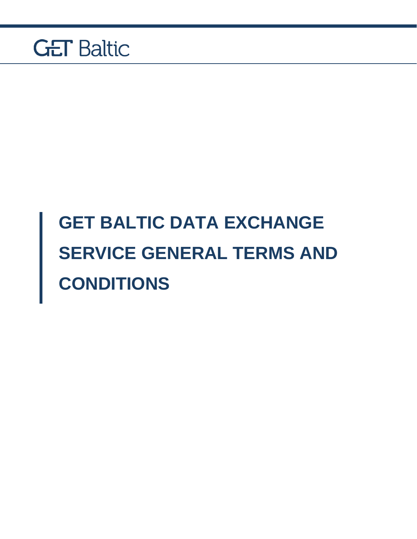

# **GET BALTIC DATA EXCHANGE SERVICE GENERAL TERMS AND CONDITIONS**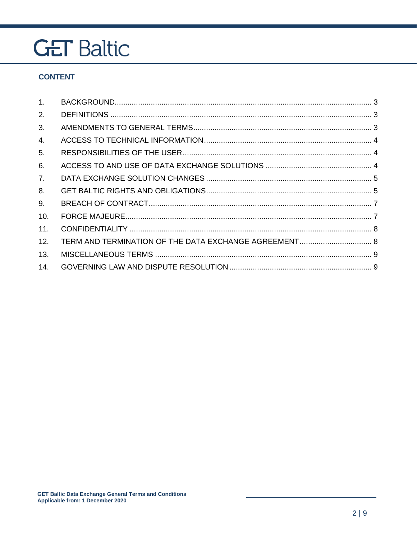#### **CONTENT**

| $1_{\cdot}$ |  |
|-------------|--|
| 2.          |  |
| 3.          |  |
| 4.          |  |
| 5.          |  |
| 6.          |  |
| 7.          |  |
| 8.          |  |
| 9.          |  |
| 10.         |  |
| 11.         |  |
| 12.         |  |
| 13.         |  |
| 14.         |  |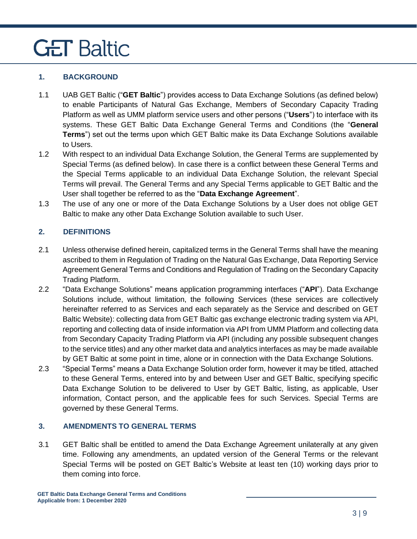#### <span id="page-2-0"></span>**1. BACKGROUND**

- 1.1 UAB GET Baltic ("**GET Baltic**") provides access to Data Exchange Solutions (as defined below) to enable Participants of Natural Gas Exchange, Members of Secondary Capacity Trading Platform as well as UMM platform service users and other persons ("**Users**") to interface with its systems. These GET Baltic Data Exchange General Terms and Conditions (the "**General Terms**") set out the terms upon which GET Baltic make its Data Exchange Solutions available to Users.
- 1.2 With respect to an individual Data Exchange Solution, the General Terms are supplemented by Special Terms (as defined below). In case there is a conflict between these General Terms and the Special Terms applicable to an individual Data Exchange Solution, the relevant Special Terms will prevail. The General Terms and any Special Terms applicable to GET Baltic and the User shall together be referred to as the "**Data Exchange Agreement**".
- 1.3 The use of any one or more of the Data Exchange Solutions by a User does not oblige GET Baltic to make any other Data Exchange Solution available to such User.

#### <span id="page-2-1"></span>**2. DEFINITIONS**

- 2.1 Unless otherwise defined herein, capitalized terms in the General Terms shall have the meaning ascribed to them in Regulation of Trading on the Natural Gas Exchange, Data Reporting Service Agreement General Terms and Conditions and Regulation of Trading on the Secondary Capacity Trading Platform.
- 2.2 "Data Exchange Solutions" means application programming interfaces ("**API**"). Data Exchange Solutions include, without limitation, the following Services (these services are collectively hereinafter referred to as Services and each separately as the Service and described on GET Baltic Website): collecting data from GET Baltic gas exchange electronic trading system via API, reporting and collecting data of inside information via API from UMM Platform and collecting data from Secondary Capacity Trading Platform via API (including any possible subsequent changes to the service titles) and any other market data and analytics interfaces as may be made available by GET Baltic at some point in time, alone or in connection with the Data Exchange Solutions.
- 2.3 "Special Terms" means a Data Exchange Solution order form, however it may be titled, attached to these General Terms, entered into by and between User and GET Baltic, specifying specific Data Exchange Solution to be delivered to User by GET Baltic, listing, as applicable, User information, Contact person, and the applicable fees for such Services. Special Terms are governed by these General Terms.

#### <span id="page-2-2"></span>**3. AMENDMENTS TO GENERAL TERMS**

3.1 GET Baltic shall be entitled to amend the Data Exchange Agreement unilaterally at any given time. Following any amendments, an updated version of the General Terms or the relevant Special Terms will be posted on GET Baltic's Website at least ten (10) working days prior to them coming into force.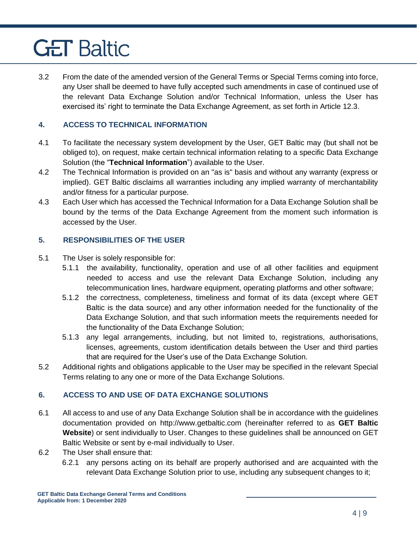3.2 From the date of the amended version of the General Terms or Special Terms coming into force, any User shall be deemed to have fully accepted such amendments in case of continued use of the relevant Data Exchange Solution and/or Technical Information, unless the User has exercised its' right to terminate the Data Exchange Agreement, as set forth in Article 12.3.

#### <span id="page-3-0"></span>**4. ACCESS TO TECHNICAL INFORMATION**

- 4.1 To facilitate the necessary system development by the User, GET Baltic may (but shall not be obliged to), on request, make certain technical information relating to a specific Data Exchange Solution (the "**Technical Information**") available to the User.
- 4.2 The Technical Information is provided on an "as is" basis and without any warranty (express or implied). GET Baltic disclaims all warranties including any implied warranty of merchantability and/or fitness for a particular purpose.
- 4.3 Each User which has accessed the Technical Information for a Data Exchange Solution shall be bound by the terms of the Data Exchange Agreement from the moment such information is accessed by the User.

#### <span id="page-3-1"></span>**5. RESPONSIBILITIES OF THE USER**

- 5.1 The User is solely responsible for:
	- 5.1.1 the availability, functionality, operation and use of all other facilities and equipment needed to access and use the relevant Data Exchange Solution, including any telecommunication lines, hardware equipment, operating platforms and other software;
	- 5.1.2 the correctness, completeness, timeliness and format of its data (except where GET Baltic is the data source) and any other information needed for the functionality of the Data Exchange Solution, and that such information meets the requirements needed for the functionality of the Data Exchange Solution;
	- 5.1.3 any legal arrangements, including, but not limited to, registrations, authorisations, licenses, agreements, custom identification details between the User and third parties that are required for the User's use of the Data Exchange Solution.
- 5.2 Additional rights and obligations applicable to the User may be specified in the relevant Special Terms relating to any one or more of the Data Exchange Solutions.

#### <span id="page-3-2"></span>**6. ACCESS TO AND USE OF DATA EXCHANGE SOLUTIONS**

- 6.1 All access to and use of any Data Exchange Solution shall be in accordance with the guidelines documentation provided on http://www.getbaltic.com (hereinafter referred to as **GET Baltic Website**) or sent individually to User. Changes to these guidelines shall be announced on GET Baltic Website or sent by e-mail individually to User.
- 6.2 The User shall ensure that:
	- 6.2.1 any persons acting on its behalf are properly authorised and are acquainted with the relevant Data Exchange Solution prior to use, including any subsequent changes to it;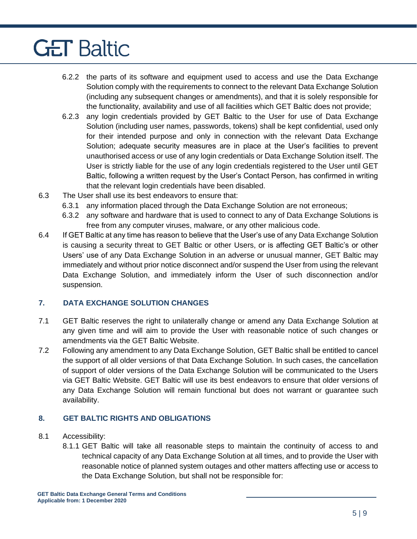- 6.2.2 the parts of its software and equipment used to access and use the Data Exchange Solution comply with the requirements to connect to the relevant Data Exchange Solution (including any subsequent changes or amendments), and that it is solely responsible for the functionality, availability and use of all facilities which GET Baltic does not provide;
- 6.2.3 any login credentials provided by GET Baltic to the User for use of Data Exchange Solution (including user names, passwords, tokens) shall be kept confidential, used only for their intended purpose and only in connection with the relevant Data Exchange Solution; adequate security measures are in place at the User's facilities to prevent unauthorised access or use of any login credentials or Data Exchange Solution itself. The User is strictly liable for the use of any login credentials registered to the User until GET Baltic, following a written request by the User's Contact Person, has confirmed in writing that the relevant login credentials have been disabled.
- 6.3 The User shall use its best endeavors to ensure that:
	- 6.3.1 any information placed through the Data Exchange Solution are not erroneous;
	- 6.3.2 any software and hardware that is used to connect to any of Data Exchange Solutions is free from any computer viruses, malware, or any other malicious code.
- 6.4 If GET Baltic at any time has reason to believe that the User's use of any Data Exchange Solution is causing a security threat to GET Baltic or other Users, or is affecting GET Baltic's or other Users' use of any Data Exchange Solution in an adverse or unusual manner, GET Baltic may immediately and without prior notice disconnect and/or suspend the User from using the relevant Data Exchange Solution, and immediately inform the User of such disconnection and/or suspension.

#### <span id="page-4-0"></span>**7. DATA EXCHANGE SOLUTION CHANGES**

- 7.1 GET Baltic reserves the right to unilaterally change or amend any Data Exchange Solution at any given time and will aim to provide the User with reasonable notice of such changes or amendments via the GET Baltic Website.
- 7.2 Following any amendment to any Data Exchange Solution, GET Baltic shall be entitled to cancel the support of all older versions of that Data Exchange Solution. In such cases, the cancellation of support of older versions of the Data Exchange Solution will be communicated to the Users via GET Baltic Website. GET Baltic will use its best endeavors to ensure that older versions of any Data Exchange Solution will remain functional but does not warrant or guarantee such availability.

#### <span id="page-4-1"></span>**8. GET BALTIC RIGHTS AND OBLIGATIONS**

- 8.1 Accessibility:
	- 8.1.1 GET Baltic will take all reasonable steps to maintain the continuity of access to and technical capacity of any Data Exchange Solution at all times, and to provide the User with reasonable notice of planned system outages and other matters affecting use or access to the Data Exchange Solution, but shall not be responsible for: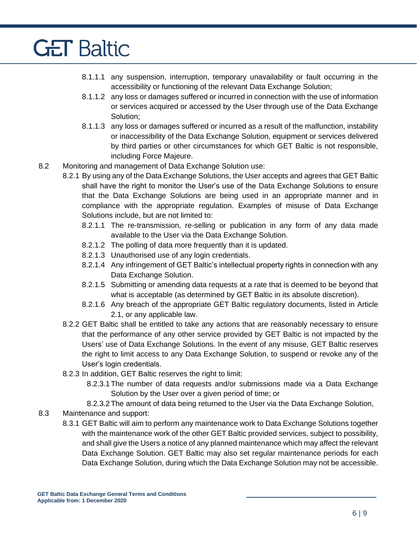- 8.1.1.1 any suspension, interruption, temporary unavailability or fault occurring in the accessibility or functioning of the relevant Data Exchange Solution;
- 8.1.1.2 any loss or damages suffered or incurred in connection with the use of information or services acquired or accessed by the User through use of the Data Exchange Solution;
- 8.1.1.3 any loss or damages suffered or incurred as a result of the malfunction, instability or inaccessibility of the Data Exchange Solution, equipment or services delivered by third parties or other circumstances for which GET Baltic is not responsible, including Force Majeure.
- 8.2 Monitoring and management of Data Exchange Solution use:
	- 8.2.1 By using any of the Data Exchange Solutions, the User accepts and agrees that GET Baltic shall have the right to monitor the User's use of the Data Exchange Solutions to ensure that the Data Exchange Solutions are being used in an appropriate manner and in compliance with the appropriate regulation. Examples of misuse of Data Exchange Solutions include, but are not limited to:
		- 8.2.1.1 The re-transmission, re-selling or publication in any form of any data made available to the User via the Data Exchange Solution.
		- 8.2.1.2 The polling of data more frequently than it is updated.
		- 8.2.1.3 Unauthorised use of any login credentials.
		- 8.2.1.4 Any infringement of GET Baltic's intellectual property rights in connection with any Data Exchange Solution.
		- 8.2.1.5 Submitting or amending data requests at a rate that is deemed to be beyond that what is acceptable (as determined by GET Baltic in its absolute discretion).
		- 8.2.1.6 Any breach of the appropriate GET Baltic regulatory documents, listed in Article 2.1, or any applicable law.
	- 8.2.2 GET Baltic shall be entitled to take any actions that are reasonably necessary to ensure that the performance of any other service provided by GET Baltic is not impacted by the Users' use of Data Exchange Solutions. In the event of any misuse, GET Baltic reserves the right to limit access to any Data Exchange Solution, to suspend or revoke any of the User's login credentials.
	- 8.2.3 In addition, GET Baltic reserves the right to limit:
		- 8.2.3.1The number of data requests and/or submissions made via a Data Exchange Solution by the User over a given period of time; or
		- 8.2.3.2The amount of data being returned to the User via the Data Exchange Solution,
- 8.3 Maintenance and support:
	- 8.3.1 GET Baltic will aim to perform any maintenance work to Data Exchange Solutions together with the maintenance work of the other GET Baltic provided services, subject to possibility, and shall give the Users a notice of any planned maintenance which may affect the relevant Data Exchange Solution. GET Baltic may also set regular maintenance periods for each Data Exchange Solution, during which the Data Exchange Solution may not be accessible.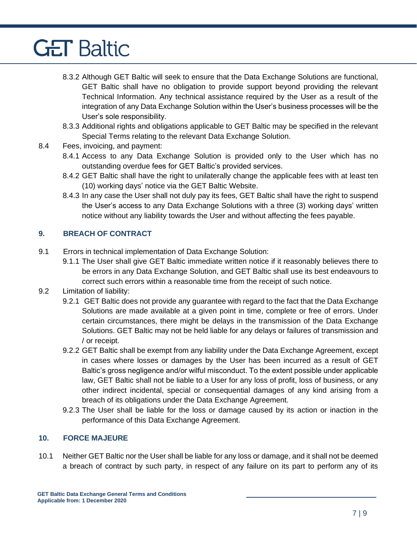- 8.3.2 Although GET Baltic will seek to ensure that the Data Exchange Solutions are functional, GET Baltic shall have no obligation to provide support beyond providing the relevant Technical Information. Any technical assistance required by the User as a result of the integration of any Data Exchange Solution within the User's business processes will be the User's sole responsibility.
- 8.3.3 Additional rights and obligations applicable to GET Baltic may be specified in the relevant Special Terms relating to the relevant Data Exchange Solution.
- 8.4 Fees, invoicing, and payment:
	- 8.4.1 Access to any Data Exchange Solution is provided only to the User which has no outstanding overdue fees for GET Baltic's provided services.
	- 8.4.2 GET Baltic shall have the right to unilaterally change the applicable fees with at least ten (10) working days' notice via the GET Baltic Website.
	- 8.4.3 In any case the User shall not duly pay its fees, GET Baltic shall have the right to suspend the User's access to any Data Exchange Solutions with a three (3) working days' written notice without any liability towards the User and without affecting the fees payable.

#### <span id="page-6-0"></span>**9. BREACH OF CONTRACT**

- 9.1 Errors in technical implementation of Data Exchange Solution:
	- 9.1.1 The User shall give GET Baltic immediate written notice if it reasonably believes there to be errors in any Data Exchange Solution, and GET Baltic shall use its best endeavours to correct such errors within a reasonable time from the receipt of such notice.
- 9.2 Limitation of liability:
	- 9.2.1 GET Baltic does not provide any guarantee with regard to the fact that the Data Exchange Solutions are made available at a given point in time, complete or free of errors. Under certain circumstances, there might be delays in the transmission of the Data Exchange Solutions. GET Baltic may not be held liable for any delays or failures of transmission and / or receipt.
	- 9.2.2 GET Baltic shall be exempt from any liability under the Data Exchange Agreement, except in cases where losses or damages by the User has been incurred as a result of GET Baltic's gross negligence and/or wilful misconduct. To the extent possible under applicable law, GET Baltic shall not be liable to a User for any loss of profit, loss of business, or any other indirect incidental, special or consequential damages of any kind arising from a breach of its obligations under the Data Exchange Agreement.
	- 9.2.3 The User shall be liable for the loss or damage caused by its action or inaction in the performance of this Data Exchange Agreement.

#### <span id="page-6-1"></span>**10. FORCE MAJEURE**

10.1 Neither GET Baltic nor the User shall be liable for any loss or damage, and it shall not be deemed a breach of contract by such party, in respect of any failure on its part to perform any of its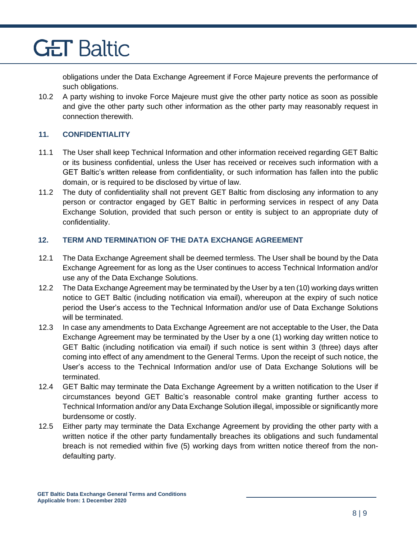obligations under the Data Exchange Agreement if Force Majeure prevents the performance of such obligations.

10.2 A party wishing to invoke Force Majeure must give the other party notice as soon as possible and give the other party such other information as the other party may reasonably request in connection therewith.

#### <span id="page-7-0"></span>**11. CONFIDENTIALITY**

- 11.1 The User shall keep Technical Information and other information received regarding GET Baltic or its business confidential, unless the User has received or receives such information with a GET Baltic's written release from confidentiality, or such information has fallen into the public domain, or is required to be disclosed by virtue of law.
- 11.2 The duty of confidentiality shall not prevent GET Baltic from disclosing any information to any person or contractor engaged by GET Baltic in performing services in respect of any Data Exchange Solution, provided that such person or entity is subject to an appropriate duty of confidentiality.

#### <span id="page-7-1"></span>**12. TERM AND TERMINATION OF THE DATA EXCHANGE AGREEMENT**

- 12.1 The Data Exchange Agreement shall be deemed termless. The User shall be bound by the Data Exchange Agreement for as long as the User continues to access Technical Information and/or use any of the Data Exchange Solutions.
- 12.2 The Data Exchange Agreement may be terminated by the User by a ten (10) working days written notice to GET Baltic (including notification via email), whereupon at the expiry of such notice period the User's access to the Technical Information and/or use of Data Exchange Solutions will be terminated.
- 12.3 In case any amendments to Data Exchange Agreement are not acceptable to the User, the Data Exchange Agreement may be terminated by the User by a one (1) working day written notice to GET Baltic (including notification via email) if such notice is sent within 3 (three) days after coming into effect of any amendment to the General Terms. Upon the receipt of such notice, the User's access to the Technical Information and/or use of Data Exchange Solutions will be terminated.
- 12.4 GET Baltic may terminate the Data Exchange Agreement by a written notification to the User if circumstances beyond GET Baltic's reasonable control make granting further access to Technical Information and/or any Data Exchange Solution illegal, impossible or significantly more burdensome or costly.
- 12.5 Either party may terminate the Data Exchange Agreement by providing the other party with a written notice if the other party fundamentally breaches its obligations and such fundamental breach is not remedied within five (5) working days from written notice thereof from the nondefaulting party.